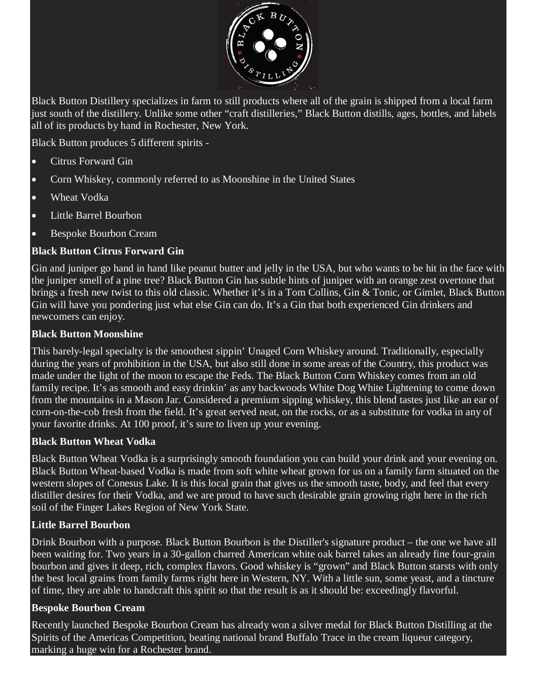

Black Button Distillery specializes in farm to still products where all of the grain is shipped from a local farm just south of the distillery. Unlike some other "craft distilleries," Black Button distills, ages, bottles, and labels all of its products by hand in Rochester, New York.

Black Button produces 5 different spirits -

- Citrus Forward Gin
- Corn Whiskey, commonly referred to as Moonshine in the United States
- Wheat Vodka
- Little Barrel Bourbon
- Bespoke Bourbon Cream

### **Black Button Citrus Forward Gin**

Gin and juniper go hand in hand like peanut butter and jelly in the USA, but who wants to be hit in the face with the juniper smell of a pine tree? Black Button Gin has subtle hints of juniper with an orange zest overtone that brings a fresh new twist to this old classic. Whether it's in a Tom Collins, Gin & Tonic, or Gimlet, Black Button Gin will have you pondering just what else Gin can do. It's a Gin that both experienced Gin drinkers and newcomers can enjoy.

### **Black Button Moonshine**

This barely-legal specialty is the smoothest sippin' Unaged Corn Whiskey around. Traditionally, especially during the years of prohibition in the USA, but also still done in some areas of the Country, this product was made under the light of the moon to escape the Feds. The Black Button Corn Whiskey comes from an old family recipe. It's as smooth and easy drinkin' as any backwoods White Dog White Lightening to come down from the mountains in a Mason Jar. Considered a premium sipping whiskey, this blend tastes just like an ear of corn-on-the-cob fresh from the field. It's great served neat, on the rocks, or as a substitute for vodka in any of your favorite drinks. At 100 proof, it's sure to liven up your evening.

### **Black Button Wheat Vodka**

Black Button Wheat Vodka is a surprisingly smooth foundation you can build your drink and your evening on. Black Button Wheat-based Vodka is made from soft white wheat grown for us on a family farm situated on the western slopes of Conesus Lake. It is this local grain that gives us the smooth taste, body, and feel that every distiller desires for their Vodka, and we are proud to have such desirable grain growing right here in the rich soil of the Finger Lakes Region of New York State.

### **Little Barrel Bourbon**

Drink Bourbon with a purpose. Black Button Bourbon is the Distiller's signature product – the one we have all been waiting for. Two years in a 30-gallon charred American white oak barrel takes an already fine four-grain bourbon and gives it deep, rich, complex flavors. Good whiskey is "grown" and Black Button starsts with only the best local grains from family farms right here in Western, NY. With a little sun, some yeast, and a tincture of time, they are able to handcraft this spirit so that the result is as it should be: exceedingly flavorful.

### **Bespoke Bourbon Cream**

Recently launched Bespoke Bourbon Cream has already won a silver medal for Black Button Distilling at the Spirits of the Americas Competition, beating national brand Buffalo Trace in the cream liqueur category, marking a huge win for a Rochester brand.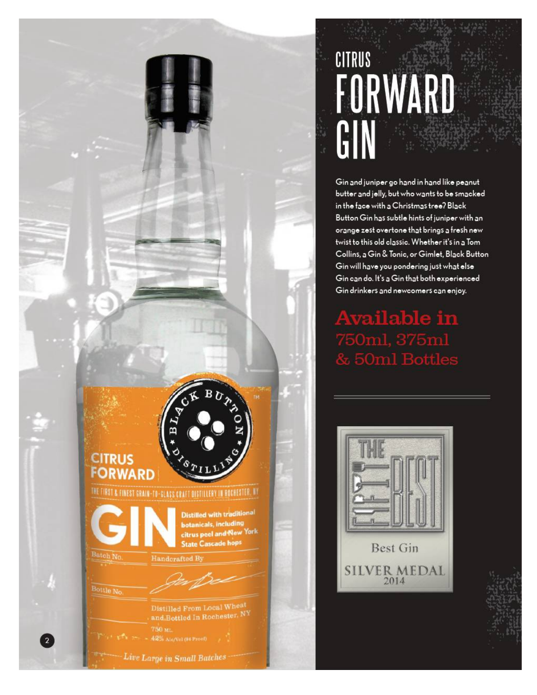# CITRUS FORWARD GIN

Gin and juniper go hand in hand like peanut butter and jelly, but who wants to be smacked in the face with a Christmas tree? Black Button Gin has subtle hints of juniper with an orange zest overtone that brings a fresh new twist to this old classic. Whether it's in a Tom Collins, a Gin & Tonic, or Gimlet, Black Button Gin will have you pondering just what else Gin can do. It's a Gin that both experienced Gin drinkers and newcomers can enjoy.

**Available in** 50ml, 375ml **50ml Bottles** 



**CITRUS FORWARD** 

Batch No.

Bottle No

THE FIRST & FINEST GRAIN-TO-GLASS CRAFT DISTILLERY IN ROCHESTER. NY

Handcrafted B

750 м.

Live Large in Small Batches

Distilled From Local Wheat and Bottled In Rochester, NY

**Distilled with traditional botanicals, including** citrus peel and New York **State Cascade hops**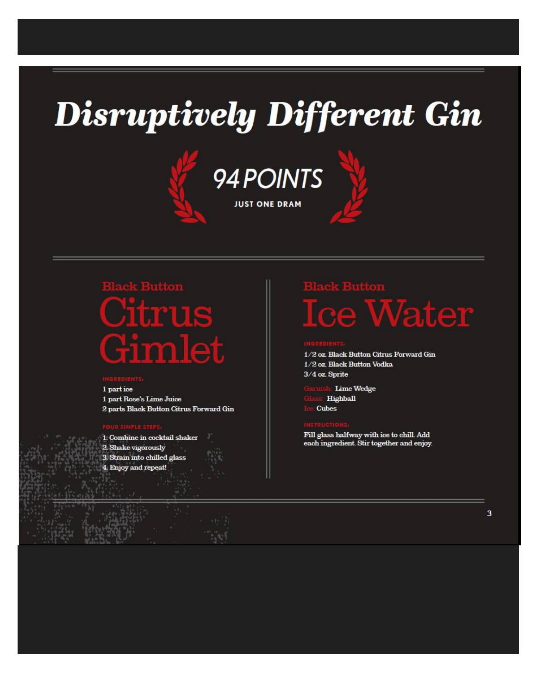## **Disruptively Different Gin**





# **Ifm<sup>-</sup>UIS** Fimlet

1 part ice 1 part Rose's Lime Juice 2 parts Black Button Citrus Forward Gin

1. Combine in cocktail shaker 2. Shake vigorously 3. Strain into chilled glass 4. Enjoy and repeat!

## **Ice Water**

1/2 oz. Black Button Citrus Forward Gin 1/2 oz. Black Button Vodka 3/4 oz. Sprite

**Lime Wedge** Highball Cubes

Fill glass halfway with ice to chill. Add each ingredient. Stir together and enjoy.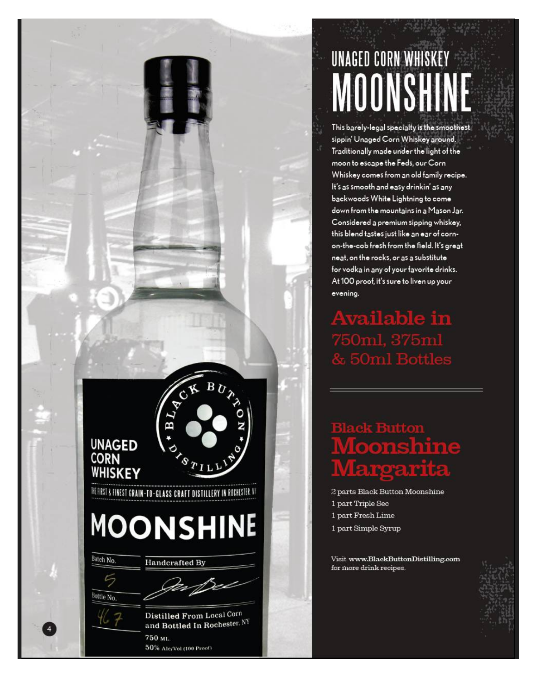# UNAGED CORN WHISKEY MOONSHINE

This barely-legal specialty is the smoothest sippin' Unaged Corn Whiskey around. Traditionally made under the light of the moon to escape the Feds, our Corn Whiskey comes from an old family recipe. It's as smooth and easy drinkin' as any backwoods White Lightning to come down from the mountains in a Mason Jar. Considered a premium sipping whiskey, this blend tastes just like an ear of cornon-the-cob fresh from the field. It's great neat, on the rocks, or as a substitute for vodka in any of your favorite drinks. At 100 proof, it's sure to liven up your evening.

**Available in** 50ml, 375ml **50ml Bottles** 

## **Moonshine** roarita

2 parts Black Button Moonshine 1 part Triple Sec 1 part Fresh Lime 1 part Simple Syrup

Visit www.BlackButtonDistilling.com for more drink recipes.



Batch No.

**UNAGED CORN** 

WHISKEY

Bottle No.

Distilled From Local Corn and Bottled In Rochester, NY 750 ML 50% Alc/Vol (100 Proof)

EL4

THEFIRST & FINEST GRAIN-TO-GLASS CRAFT DISTILLERY IN ROCHESTER. AT

**MOONSHINE** 

**Handcrafted By**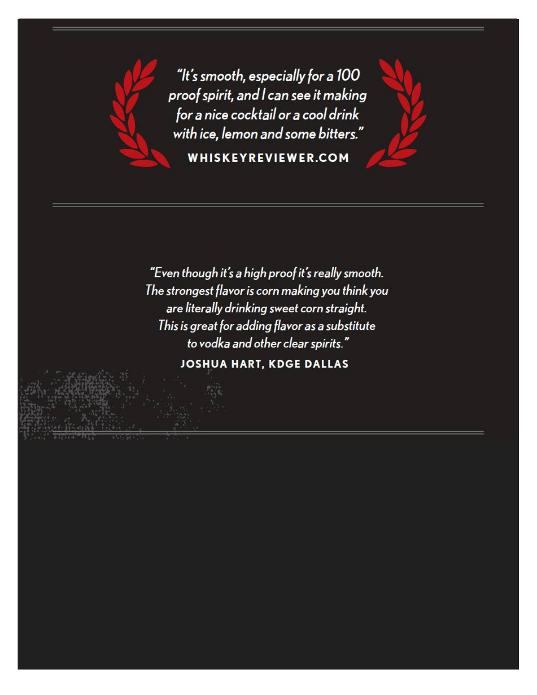

"It's smooth, especially for a 100 proof spirit, and I can see it making for a nice cocktail or a cool drink with ice, lemon and some bitters." **WHISKEYREVIEWER.COM** 

"Even though it's a high proof it's really smooth. The strongest flavor is corn making you think you are literally drinking sweet corn straight. This is great for adding flavor as a substitute to vodka and other clear spirits."

**JOSHUA HART, KDGE DALLAS**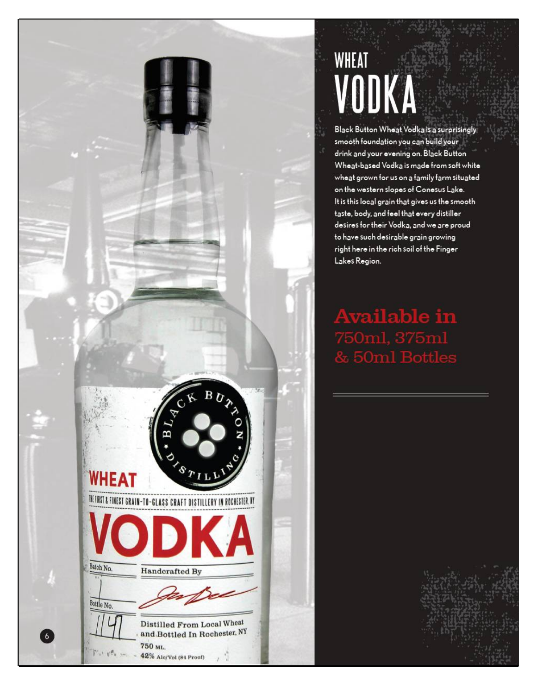# **WHEAT** VODKA

Black Button Wheat Vodka is a surprisingly smooth foundation you can build your drink and your evening on. Black Button Wheat-based Vodka is made from soft white wheat grown for us on a family farm situated on the western slopes of Conesus Lake. It is this local grain that gives us the smooth taste, body, and feel that every distiller desires for their Vodka, and we are proud to have such desirable grain growing right here in the rich soil of the Finger Lakes Region.

vailable in  $50ml, 375ml$ **50ml Bottles** 



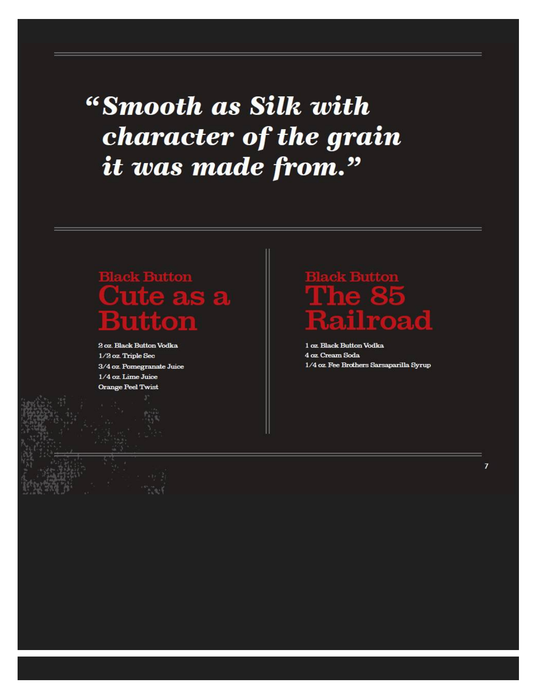"Smooth as Silk with character of the grain it was made from."

## **Cute as a** Button

2 oz. Black Button Vodka 1/2 oz. Triple Sec 3/4 oz. Pomegranate Juice 1/4 oz. Lime Juice **Orange Peel Twist** 

## The 85  $\boldsymbol{\Gamma}$ road

1 oz. Black Button Vodka 4 oz. Cream Soda 1/4 oz. Fee Brothers Sarsaparilla Syrup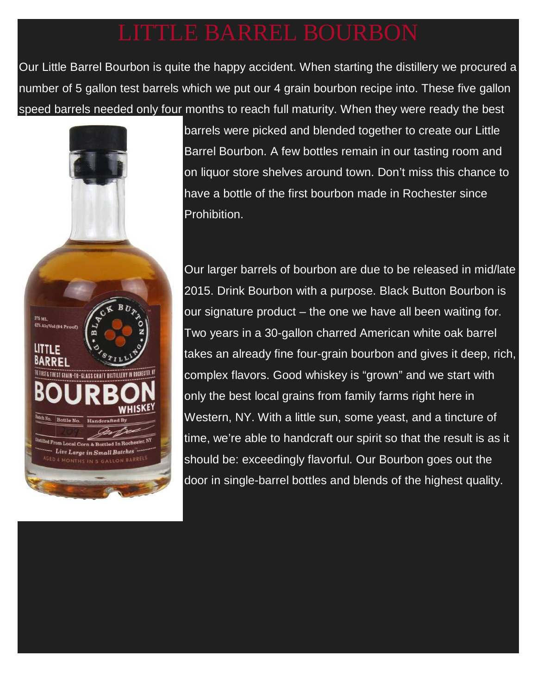Our Little Barrel Bourbon is quite the happy accident. When starting the distillery we procured a number of 5 gallon test barrels which we put our 4 grain bourbon recipe into. These five gallon speed barrels needed only four months to reach full maturity. When they were ready the best



barrels were picked and blended together to create our Little Barrel Bourbon. A few bottles remain in our tasting room and on liquor store shelves around town. Don't miss this chance to have a bottle of the first bourbon made in Rochester since Prohibition.

Our larger barrels of bourbon are due to be released in mid/late 2015. Drink Bourbon with a purpose. Black Button Bourbon is our signature product – the one we have all been waiting for. Two years in a 30-gallon charred American white oak barrel takes an already fine four-grain bourbon and gives it deep, rich, complex flavors. Good whiskey is "grown" and we start with only the best local grains from family farms right here in Western, NY. With a little sun, some yeast, and a tincture of time, we're able to handcraft our spirit so that the result is as it should be: exceedingly flavorful. Our Bourbon goes out the door in single-barrel bottles and blends of the highest quality.